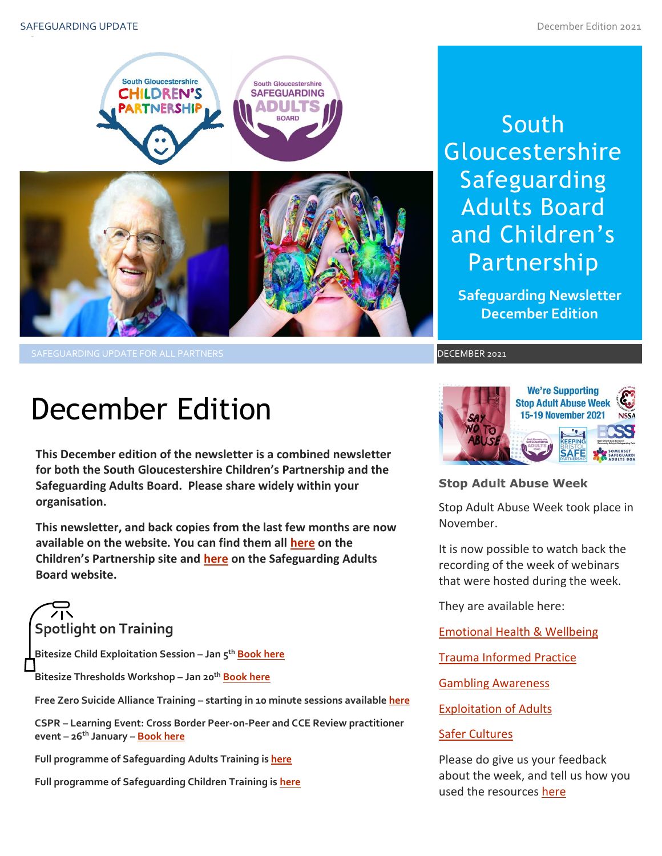

SAFEGUARDING UPDATE FOR ALL PARTNERS DECEMBER 2021

### South **Gloucestershire** Safeguarding Adults Board and Children's Partnership

**Safeguarding Newsletter December Edition**

## December Edition

**This December edition of the newsletter is a combined newsletter for both the South Gloucestershire Children's Partnership and the Safeguarding Adults Board. Please share widely within your organisation.**

**This newsletter, and back copies from the last few months are now available on the website. You can find them all [here](https://sites.southglos.gov.uk/safeguarding/children/safeguarding-children-board/scb-minutes-of-meetings/) on the Children's Partnership site and [here](https://sites.southglos.gov.uk/safeguarding/adults/safeguarding-adults-board/newsletters-2/) on the Safeguarding Adults Board website.**

# **Spotlight on Training**

**Bitesize Child Exploitation Session – Jan 5 th [Book here](https://www.eventbrite.co.uk/e/220867700237)**

**Bitesize Thresholds Workshop – Jan 20th [Book here](https://learning.southglos.gov.uk/courses/bookings/c_detail.asp?cid=19382&iscancelled=0&curpage=&keyword=threshold&ds=1&unconfirmed=&cs=&subid=&keystage=0&sdate=&searchcode=&asearch=&tutid=&estid=&sday=&smonth=&syear=&targetid=&cal=&calday=&calmonth=&calyear=&caldate=&submonth=&subyear=&list=&palist=&frompage=&a=&b=&c=&d=&s_leaid=)**

**Free Zero Suicide Alliance Training – starting in 10 minute sessions availabl[e here](https://www.zerosuicidealliance.com/training)**

**CSPR – Learning Event: Cross Border Peer-on-Peer and CCE Review practitioner event – 26th January – [Book here](https://www.eventbrite.co.uk/e/cross-border-cspr-practitioner-event-tickets-203050749257)**

**Full programme of Safeguarding Adults Training i[s here](https://sway.office.com/t1V6fJqHugGmU9OO?ref=Link)**

**Full programme of Safeguarding Children Training is [here](https://sway.office.com/XecEFBowUyeP1T8W?ref=Link)**



**Stop Adult Abuse Week**

Stop Adult Abuse Week took place in November.

It is now possible to watch back the recording of the week of webinars that were hosted during the week.

They are available here:

[Emotional Health & Wellbeing](https://www.youtube.com/watch?v=2EES5PRBXEM&t=11s)

**Trauma Informed Practice** 

[Gambling Awareness](https://www.youtube.com/watch?v=1WnIcxfCql0)

[Exploitation of Adults](https://www.youtube.com/watch?v=3pAz_koQ35E&t=7s)

#### [Safer Cultures](https://www.youtube.com/watch?v=aDa-UHRnAG0&t=2s)

Please do give us your feedback about the week, and tell us how you used the resources [here](mailto:sharonprowse@freeways.org.uk?subject=Stop%20Adult%20Abuse%20Week%20Feedback)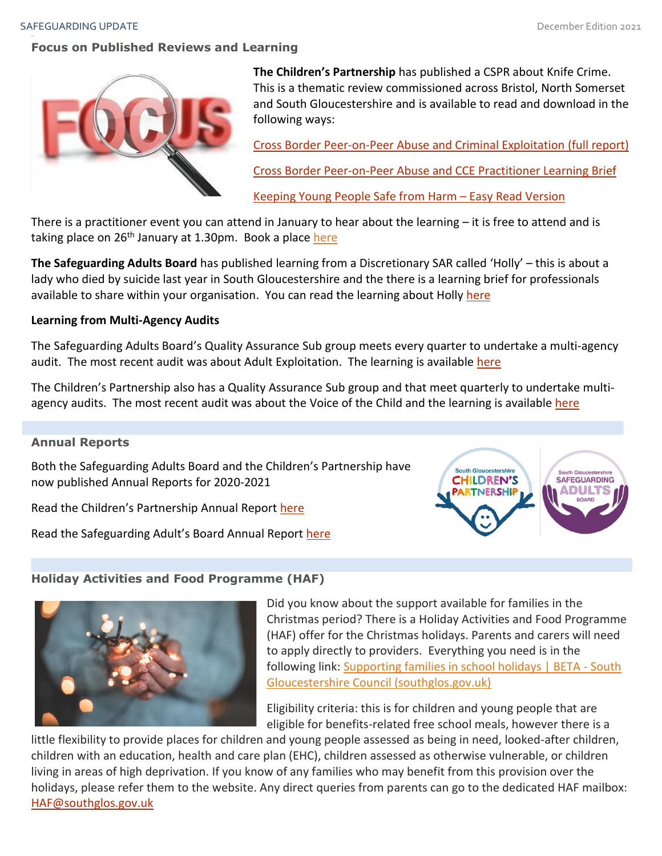#### SAFEGUARDING UPDATE And the state of the control of the control of the control of the control of the control of the control of the control of the control of the control of the control of the control of the control of the c

#### **Focus on Published Reviews and Learning**



**The Children's Partnership** has published a CSPR about Knife Crime. This is a thematic review commissioned across Bristol, North Somerset and South Gloucestershire and is available to read and download in the following ways:

Cross Border [Peer-on-Peer Abuse and Criminal Exploitation](http://sites.southglos.gov.uk/safeguarding/wp-content/uploads/sites/221/2015/05/Cross-Border-Peer-Abuse-CCE-Thematic-CSPR-Report-for-publication-2.pdf) (full report)

[Cross Border Peer-on-Peer Abuse and CCE Practitioner Learning Brief](http://sites.southglos.gov.uk/safeguarding/wp-content/uploads/sites/221/2015/05/Learning-Brief-for-Professionals-Cross-Border-Peer-on-peer-abuse-and-CCE-Thematic-CSPR.pdf)

[Keeping Young People Safe from Harm](http://sites.southglos.gov.uk/safeguarding/wp-content/uploads/sites/221/2015/05/Cross-Border-Peer-Abuse-Easy-Read-Report-Final.pdf) – Easy Read Version

There is a practitioner event you can attend in January to hear about the learning  $-$  it is free to attend and is taking place on 26<sup>th</sup> January at 1.30pm. Book a place [here](https://www.eventbrite.co.uk/e/cross-border-cspr-practitioner-event-tickets-203050749257)

**The Safeguarding Adults Board** has published learning from a Discretionary SAR called 'Holly' – this is about a lady who died by suicide last year in South Gloucestershire and the there is a learning brief for professionals available to share within your organisation. You can read the learning about Holly [here](http://sites.southglos.gov.uk/safeguarding/wp-content/uploads/sites/221/2015/05/Holly-Discretionary-SAR-Learning-Brief-November-2021.pdf)

#### **Learning from Multi-Agency Audits**

The Safeguarding Adults Board's Quality Assurance Sub group meets every quarter to undertake a multi-agency audit. The most recent audit was about Adult Exploitation. The learning is available [here](http://sites.southglos.gov.uk/safeguarding/wp-content/uploads/sites/221/2017/05/QA-Audit-Exploitation-November-2021.pdf)

The Children's Partnership also has a Quality Assurance Sub group and that meet quarterly to undertake multiagency audits. The most recent audit was about the Voice of the Child and the learning is available [here](http://sites.southglos.gov.uk/safeguarding/wp-content/uploads/sites/221/2016/04/QA-Audit-Voice-of-Child-sept-2021.pdf)

#### **Annual Reports**

Both the Safeguarding Adults Board and the Children's Partnership have now published Annual Reports for 2020-2021

Read the Children's Partnership Annual Report [here](http://sites.southglos.gov.uk/safeguarding/wp-content/uploads/sites/221/2015/05/South-Gloucestershire-Childrens-Partnership-Annual-Report-2020-2021-FINAL.pdf)

Read the Safeguarding Adult's Board Annual Report [here](http://sites.southglos.gov.uk/safeguarding/wp-content/uploads/sites/221/2015/05/South-Gloucestershire-Safeguarding-Adults-Board-Annual-Report-2020-21.pdf)



#### **Holiday Activities and Food Programme (HAF)**



Did you know about the support available for families in the Christmas period? There is a Holiday Activities and Food Programme (HAF) offer for the Christmas holidays. Parents and carers will need to apply directly to providers. Everything you need is in the following link: [Supporting families in school holidays | BETA -](https://beta.southglos.gov.uk/supporting-families-in-school-holidays) South [Gloucestershire Council \(southglos.gov.uk\)](https://beta.southglos.gov.uk/supporting-families-in-school-holidays)

Eligibility criteria: this is for children and young people that are eligible for benefits-related free school meals, however there is a

little flexibility to provide places for children and young people assessed as being in need, looked-after children, children with an education, health and care plan (EHC), children assessed as otherwise vulnerable, or children living in areas of high deprivation. If you know of any families who may benefit from this provision over the holidays, please refer them to the website. Any direct queries from parents can go to the dedicated HAF mailbox: [HAF@southglos.gov.uk](mailto:HAF@southglos.gov.uk)